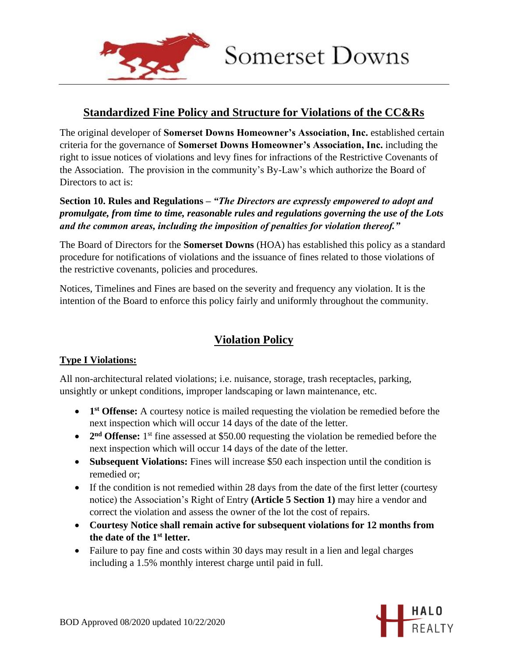

## Somerset Downs

### **Standardized Fine Policy and Structure for Violations of the CC&Rs**

The original developer of **Somerset Downs Homeowner's Association, Inc.** established certain criteria for the governance of **Somerset Downs Homeowner's Association, Inc.** including the right to issue notices of violations and levy fines for infractions of the Restrictive Covenants of the Association. The provision in the community's By-Law's which authorize the Board of Directors to act is:

#### **Section 10. Rules and Regulations –** *"The Directors are expressly empowered to adopt and promulgate, from time to time, reasonable rules and regulations governing the use of the Lots and the common areas, including the imposition of penalties for violation thereof."*

The Board of Directors for the **Somerset Downs** (HOA) has established this policy as a standard procedure for notifications of violations and the issuance of fines related to those violations of the restrictive covenants, policies and procedures.

Notices, Timelines and Fines are based on the severity and frequency any violation. It is the intention of the Board to enforce this policy fairly and uniformly throughout the community.

## **Violation Policy**

#### **Type I Violations:**

All non-architectural related violations; i.e. nuisance, storage, trash receptacles, parking, unsightly or unkept conditions, improper landscaping or lawn maintenance, etc.

- **1 st Offense:** A courtesy notice is mailed requesting the violation be remedied before the next inspection which will occur 14 days of the date of the letter.
- 2<sup>nd</sup> Offense: 1<sup>st</sup> fine assessed at \$50.00 requesting the violation be remedied before the next inspection which will occur 14 days of the date of the letter.
- **Subsequent Violations:** Fines will increase \$50 each inspection until the condition is remedied or;
- If the condition is not remedied within 28 days from the date of the first letter (courtesy notice) the Association's Right of Entry **(Article 5 Section 1)** may hire a vendor and correct the violation and assess the owner of the lot the cost of repairs.
- **Courtesy Notice shall remain active for subsequent violations for 12 months from the date of the 1st letter.**
- Failure to pay fine and costs within 30 days may result in a lien and legal charges including a 1.5% monthly interest charge until paid in full.